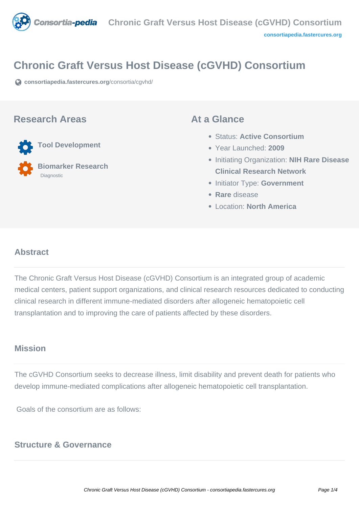

# **Chronic Graft Versus Host Disease (cGVHD) Consortium**

**[consortiapedia.fastercures.org](https://consortiapedia.fastercures.org/consortia/cgvhd/)**[/consortia/cgvhd/](https://consortiapedia.fastercures.org/consortia/cgvhd/)

#### **Research Areas**

**Tool Development**

 **Biomarker Research** Diagnostic

#### **At a Glance**

- Status: **Active Consortium**
- Year Launched: **2009**
- Initiating Organization: **NIH Rare Disease Clinical Research Network**
- **Initiator Type: Government**
- **Rare** disease
- Location: **North America**

# **Abstract**

The Chronic Graft Versus Host Disease (cGVHD) Consortium is an integrated group of academic medical centers, patient support organizations, and clinical research resources dedicated to conducting clinical research in different immune-mediated disorders after allogeneic hematopoietic cell transplantation and to improving the care of patients affected by these disorders.

## **Mission**

The cGVHD Consortium seeks to decrease illness, limit disability and prevent death for patients who develop immune-mediated complications after allogeneic hematopoietic cell transplantation.

Goals of the consortium are as follows:

### **Structure & Governance**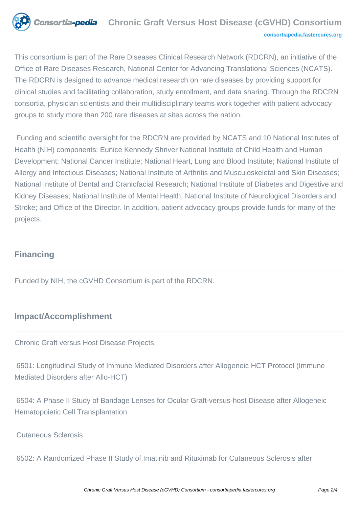

This consortium is part of the Rare Diseases Clinical Research Network (RDCRN), an initiative of the Office of Rare Diseases Research, National Center for Advancing Translational Sciences (NCATS). The RDCRN is designed to advance medical research on rare diseases by providing support for clinical studies and facilitating collaboration, study enrollment, and data sharing. Through the RDCRN consortia, physician scientists and their multidisciplinary teams work together with patient advocacy groups to study more than 200 rare diseases at sites across the nation.

 Funding and scientific oversight for the RDCRN are provided by NCATS and 10 National Institutes of Health (NIH) components: Eunice Kennedy Shriver National Institute of Child Health and Human Development; National Cancer Institute; National Heart, Lung and Blood Institute; National Institute of Allergy and Infectious Diseases; National Institute of Arthritis and Musculoskeletal and Skin Diseases; National Institute of Dental and Craniofacial Research; National Institute of Diabetes and Digestive and Kidney Diseases; National Institute of Mental Health; National Institute of Neurological Disorders and Stroke; and Office of the Director. In addition, patient advocacy groups provide funds for many of the projects.

# **Financing**

Funded by NIH, the cGVHD Consortium is part of the RDCRN.

# **Impact/Accomplishment**

Chronic Graft versus Host Disease Projects:

 6501: Longitudinal Study of Immune Mediated Disorders after Allogeneic HCT Protocol (Immune Mediated Disorders after Allo-HCT)

 6504: A Phase II Study of Bandage Lenses for Ocular Graft-versus-host Disease after Allogeneic Hematopoietic Cell Transplantation

Cutaneous Sclerosis

6502: A Randomized Phase II Study of Imatinib and Rituximab for Cutaneous Sclerosis after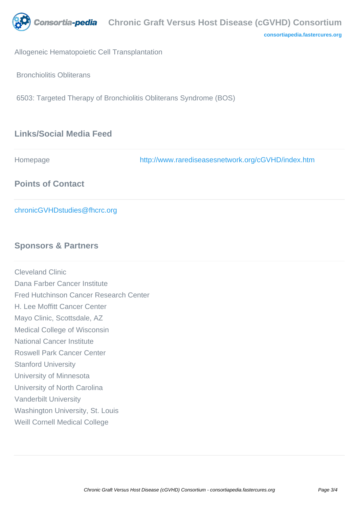

**[consortiapedia.fastercures.org](http://consortiapedia.fastercures.org/)**

Allogeneic Hematopoietic Cell Transplantation

Bronchiolitis Obliterans

6503: Targeted Therapy of Bronchiolitis Obliterans Syndrome (BOS)

# **Links/Social Media Feed**

| Homepage                     | http://www.rarediseasesnetwork.org/cGVHD/index.htm |
|------------------------------|----------------------------------------------------|
| <b>Points of Contact</b>     |                                                    |
| chronicGVHDstudies@fhcrc.org |                                                    |

### **Sponsors & Partners**

Cleveland Clinic Dana Farber Cancer Institute Fred Hutchinson Cancer Research Center H. Lee Moffitt Cancer Center Mayo Clinic, Scottsdale, AZ Medical College of Wisconsin National Cancer Institute Roswell Park Cancer Center Stanford University University of Minnesota University of North Carolina Vanderbilt University Washington University, St. Louis Weill Cornell Medical College